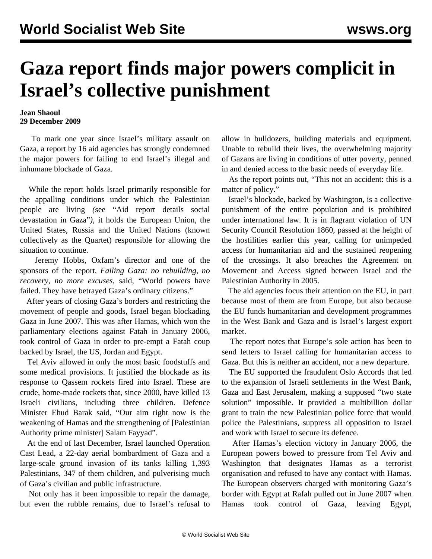## **Gaza report finds major powers complicit in Israel's collective punishment**

## **Jean Shaoul 29 December 2009**

 To mark one year since Israel's military assault on Gaza, a report by 16 aid agencies has strongly condemned the major powers for failing to end Israel's illegal and inhumane blockade of Gaza.

 While the report holds Israel primarily responsible for the appalling conditions under which the Palestinian people are living *(*see "[Aid report details social](/en/articles/2009/dec2009/gaz2-d29.shtml) [devastation in Gaza"](/en/articles/2009/dec2009/gaz2-d29.shtml)*)*, it holds the European Union, the United States, Russia and the United Nations (known collectively as the Quartet) responsible for allowing the situation to continue.

 Jeremy Hobbs, Oxfam's director and one of the sponsors of the report, *Failing Gaza: no rebuilding, no recovery, no more excuses,* said, "World powers have failed. They have betrayed Gaza's ordinary citizens."

 After years of closing Gaza's borders and restricting the movement of people and goods, Israel began blockading Gaza in June 2007. This was after Hamas, which won the parliamentary elections against Fatah in January 2006, took control of Gaza in order to pre-empt a Fatah coup backed by Israel, the US, Jordan and Egypt.

 Tel Aviv allowed in only the most basic foodstuffs and some medical provisions. It justified the blockade as its response to Qassem rockets fired into Israel. These are crude, home-made rockets that, since 2000, have killed 13 Israeli civilians, including three children. Defence Minister Ehud Barak said, "Our aim right now is the weakening of Hamas and the strengthening of [Palestinian Authority prime minister] Salam Fayyad".

 At the end of last December, Israel launched Operation Cast Lead, a 22-day aerial bombardment of Gaza and a large-scale ground invasion of its tanks killing 1,393 Palestinians, 347 of them children, and pulverising much of Gaza's civilian and public infrastructure.

 Not only has it been impossible to repair the damage, but even the rubble remains, due to Israel's refusal to

allow in bulldozers, building materials and equipment. Unable to rebuild their lives, the overwhelming majority of Gazans are living in conditions of utter poverty, penned in and denied access to the basic needs of everyday life.

 As the report points out, "This not an accident: this is a matter of policy."

 Israel's blockade, backed by Washington, is a collective punishment of the entire population and is prohibited under international law. It is in flagrant violation of UN Security Council Resolution 1860, passed at the height of the hostilities earlier this year, calling for unimpeded access for humanitarian aid and the sustained reopening of the crossings. It also breaches the Agreement on Movement and Access signed between Israel and the Palestinian Authority in 2005.

 The aid agencies focus their attention on the EU, in part because most of them are from Europe, but also because the EU funds humanitarian and development programmes in the West Bank and Gaza and is Israel's largest export market.

 The report notes that Europe's sole action has been to send letters to Israel calling for humanitarian access to Gaza. But this is neither an accident, nor a new departure.

 The EU supported the fraudulent Oslo Accords that led to the expansion of Israeli settlements in the West Bank, Gaza and East Jerusalem, making a supposed "two state solution" impossible. It provided a multibillion dollar grant to train the new Palestinian police force that would police the Palestinians, suppress all opposition to Israel and work with Israel to secure its defence.

 After Hamas's election victory in January 2006, the European powers bowed to pressure from Tel Aviv and Washington that designates Hamas as a terrorist organisation and refused to have any contact with Hamas. The European observers charged with monitoring Gaza's border with Egypt at Rafah pulled out in June 2007 when Hamas took control of Gaza, leaving Egypt,